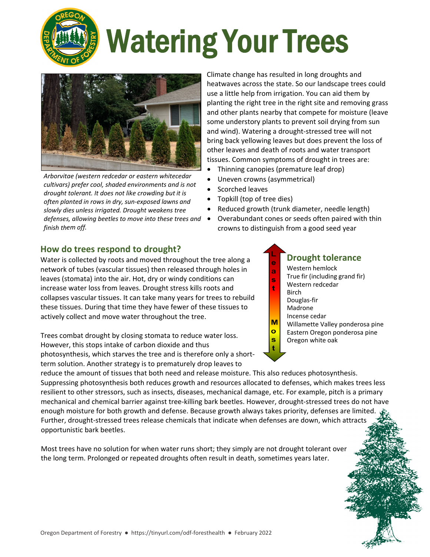

# Watering Your Trees



*Arborvitae (western redcedar or eastern whitecedar cultivars) prefer cool, shaded environments and is not drought tolerant. It does not like crowding but it is often planted in rows in dry, sun‐exposed lawns and slowly dies unless irrigated. Drought weakens tree defenses, allowing beetles to move into these trees and finish them off.* 

Climate change has resulted in long droughts and heatwaves across the state. So our landscape trees could use a little help from irrigation. You can aid them by planting the right tree in the right site and removing grass and other plants nearby that compete for moisture (leave some understory plants to prevent soil drying from sun and wind). Watering a drought‐stressed tree will not bring back yellowing leaves but does prevent the loss of other leaves and death of roots and water transport tissues. Common symptoms of drought in trees are:

- Thinning canopies (premature leaf drop)
- Uneven crowns (asymmetrical)
- Scorched leaves
- Topkill (top of tree dies)
- Reduced growth (trunk diameter, needle length)
- Overabundant cones or seeds often paired with thin crowns to distinguish from a good seed year

### **How do trees respond to drought?**

Water is collected by roots and moved throughout the tree along a network of tubes (vascular tissues) then released through holes in leaves (stomata) into the air. Hot, dry or windy conditions can increase water loss from leaves. Drought stress kills roots and collapses vascular tissues. It can take many years for trees to rebuild these tissues. During that time they have fewer of these tissues to actively collect and move water throughout the tree.

Trees combat drought by closing stomata to reduce water loss. However, this stops intake of carbon dioxide and thus photosynthesis, which starves the tree and is therefore only a short‐ term solution. Another strategy is to prematurely drop leaves to

### **Drought tolerance**

- Western hemlock
- ā True fir (including grand fir) Ś
	- Western redcedar
	- Birch
	- Douglas‐fir
	- Madrone

M  $\bullet$ s

- Incense cedar
- Willamette Valley ponderosa pine Eastern Oregon ponderosa pine
- Oregon white oak

reduce the amount of tissues that both need and release moisture. This also reduces photosynthesis. Suppressing photosynthesis both reduces growth and resources allocated to defenses, which makes trees less resilient to other stressors, such as insects, diseases, mechanical damage, etc. For example, pitch is a primary mechanical and chemical barrier against tree‐killing bark beetles. However, drought‐stressed trees do not have enough moisture for both growth and defense. Because growth always takes priority, defenses are limited. Further, drought‐stressed trees release chemicals that indicate when defenses are down, which attracts opportunistic bark beetles.

Most trees have no solution for when water runs short; they simply are not drought tolerant over the long term. Prolonged or repeated droughts often result in death, sometimes years later.